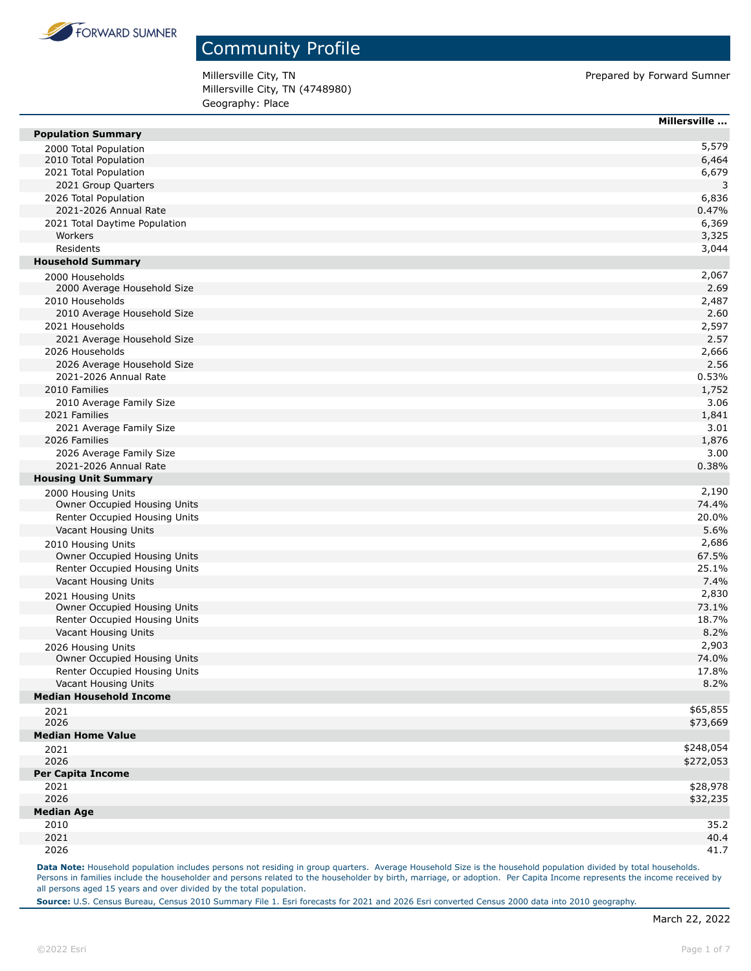

Millersville City, TN **Prepared by Forward Sumner** Millersville City, TN (4748980) Geography: Place

|                                | Millersville |
|--------------------------------|--------------|
| <b>Population Summary</b>      |              |
| 2000 Total Population          | 5,579        |
| 2010 Total Population          | 6,464        |
| 2021 Total Population          | 6,679        |
| 2021 Group Quarters            | 3            |
| 2026 Total Population          | 6,836        |
| 2021-2026 Annual Rate          | 0.47%        |
| 2021 Total Daytime Population  | 6,369        |
| Workers                        | 3,325        |
| Residents                      | 3,044        |
| <b>Household Summary</b>       |              |
| 2000 Households                | 2,067        |
| 2000 Average Household Size    | 2.69         |
| 2010 Households                | 2,487        |
| 2010 Average Household Size    | 2.60         |
| 2021 Households                | 2,597        |
| 2021 Average Household Size    | 2.57         |
| 2026 Households                | 2,666        |
| 2026 Average Household Size    | 2.56         |
| 2021-2026 Annual Rate          | 0.53%        |
| 2010 Families                  | 1,752        |
| 2010 Average Family Size       | 3.06         |
| 2021 Families                  | 1,841        |
| 2021 Average Family Size       | 3.01         |
| 2026 Families                  | 1,876        |
| 2026 Average Family Size       | 3.00         |
| 2021-2026 Annual Rate          | 0.38%        |
| <b>Housing Unit Summary</b>    |              |
| 2000 Housing Units             | 2,190        |
| Owner Occupied Housing Units   | 74.4%        |
| Renter Occupied Housing Units  | 20.0%        |
| Vacant Housing Units           | 5.6%         |
| 2010 Housing Units             | 2,686        |
| Owner Occupied Housing Units   | 67.5%        |
| Renter Occupied Housing Units  | 25.1%        |
| Vacant Housing Units           | 7.4%         |
| 2021 Housing Units             | 2,830        |
| Owner Occupied Housing Units   | 73.1%        |
| Renter Occupied Housing Units  | 18.7%        |
| Vacant Housing Units           | 8.2%         |
| 2026 Housing Units             | 2,903        |
| Owner Occupied Housing Units   | 74.0%        |
| Renter Occupied Housing Units  | 17.8%        |
| Vacant Housing Units           | 8.2%         |
| <b>Median Household Income</b> |              |
| 2021                           | \$65,855     |
| 2026                           | \$73,669     |
| <b>Median Home Value</b>       |              |
| 2021                           | \$248,054    |
| 2026                           | \$272,053    |
| <b>Per Capita Income</b>       |              |
| 2021                           | \$28,978     |
| 2026                           | \$32,235     |
| <b>Median Age</b>              |              |
| 2010                           | 35.2         |
| 2021                           | 40.4         |
| 2026                           | 41.7         |

Data Note: Household population includes persons not residing in group quarters. Average Household Size is the household population divided by total households. Persons in families include the householder and persons related to the householder by birth, marriage, or adoption. Per Capita Income represents the income received by all persons aged 15 years and over divided by the total population.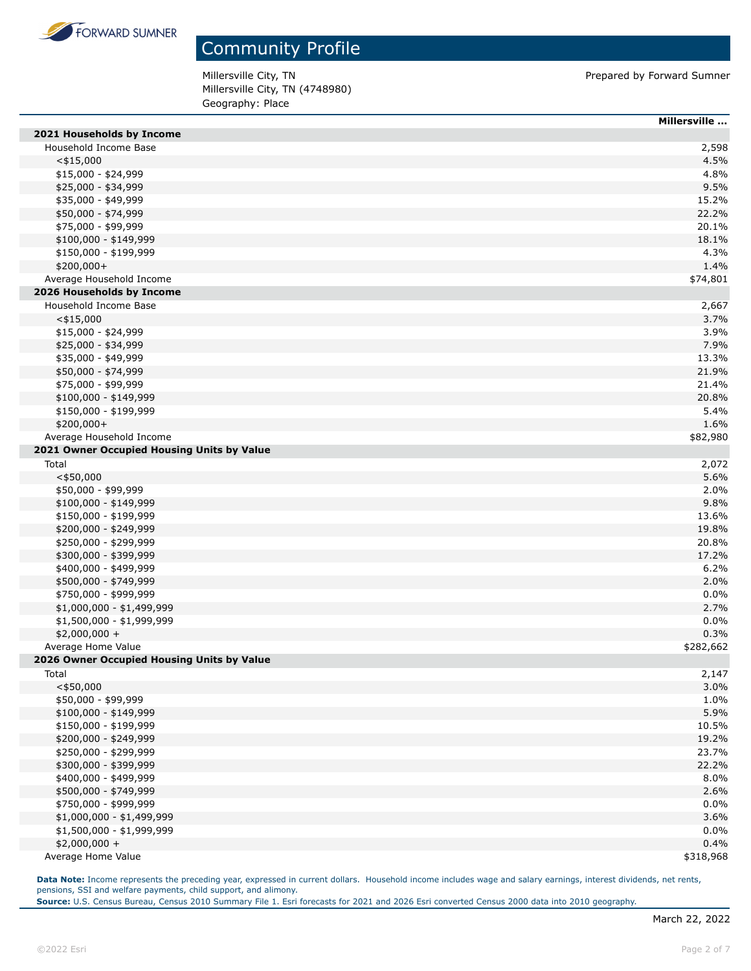

Millersville City, TN **Prepared by Forward Sumner** Millersville City, TN (4748980) Geography: Place

|                                            | Millersville |
|--------------------------------------------|--------------|
| 2021 Households by Income                  |              |
| Household Income Base                      | 2,598        |
| $<$ \$15,000                               | 4.5%         |
| \$15,000 - \$24,999                        | 4.8%         |
| \$25,000 - \$34,999                        | 9.5%         |
| \$35,000 - \$49,999                        | 15.2%        |
| \$50,000 - \$74,999                        | 22.2%        |
| \$75,000 - \$99,999                        | 20.1%        |
| \$100,000 - \$149,999                      | 18.1%        |
| \$150,000 - \$199,999                      | 4.3%         |
| $$200,000+$                                | 1.4%         |
| Average Household Income                   | \$74,801     |
| 2026 Households by Income                  |              |
| Household Income Base                      | 2,667        |
| $<$ \$15,000                               | 3.7%         |
| \$15,000 - \$24,999                        | 3.9%         |
| \$25,000 - \$34,999                        | 7.9%         |
| \$35,000 - \$49,999                        | 13.3%        |
| \$50,000 - \$74,999                        | 21.9%        |
| \$75,000 - \$99,999                        | 21.4%        |
| $$100,000 - $149,999$                      | 20.8%        |
| \$150,000 - \$199,999                      | 5.4%         |
| \$200,000+                                 | 1.6%         |
| Average Household Income                   | \$82,980     |
| 2021 Owner Occupied Housing Units by Value |              |
| Total                                      | 2,072        |
| $<$ \$50,000                               | 5.6%         |
| \$50,000 - \$99,999                        | 2.0%         |
| $$100,000 - $149,999$                      | 9.8%         |
| \$150,000 - \$199,999                      | 13.6%        |
| \$200,000 - \$249,999                      | 19.8%        |
| \$250,000 - \$299,999                      | 20.8%        |
| \$300,000 - \$399,999                      | 17.2%        |
| \$400,000 - \$499,999                      | 6.2%         |
| \$500,000 - \$749,999                      | 2.0%         |
| \$750,000 - \$999,999                      | 0.0%         |
| \$1,000,000 - \$1,499,999                  | 2.7%         |
| $$1,500,000 - $1,999,999$                  | 0.0%         |
| $$2,000,000 +$                             | 0.3%         |
| Average Home Value                         | \$282,662    |
| 2026 Owner Occupied Housing Units by Value |              |
| Total                                      | 2,147        |
| $<$ \$50,000                               | 3.0%         |
| \$50,000 - \$99,999                        | 1.0%         |
| \$100,000 - \$149,999                      | 5.9%         |
| \$150,000 - \$199,999                      | 10.5%        |
| \$200,000 - \$249,999                      | 19.2%        |
| \$250,000 - \$299,999                      | 23.7%        |
| \$300,000 - \$399,999                      | 22.2%        |
| \$400,000 - \$499,999                      | 8.0%         |
| \$500,000 - \$749,999                      | 2.6%         |
| \$750,000 - \$999,999                      | 0.0%         |
| $$1,000,000 - $1,499,999$                  | 3.6%         |
| \$1,500,000 - \$1,999,999                  | 0.0%         |
| $$2,000,000 +$                             | 0.4%         |
| Average Home Value                         | \$318,968    |

Data Note: Income represents the preceding year, expressed in current dollars. Household income includes wage and salary earnings, interest dividends, net rents, pensions, SSI and welfare payments, child support, and alimony.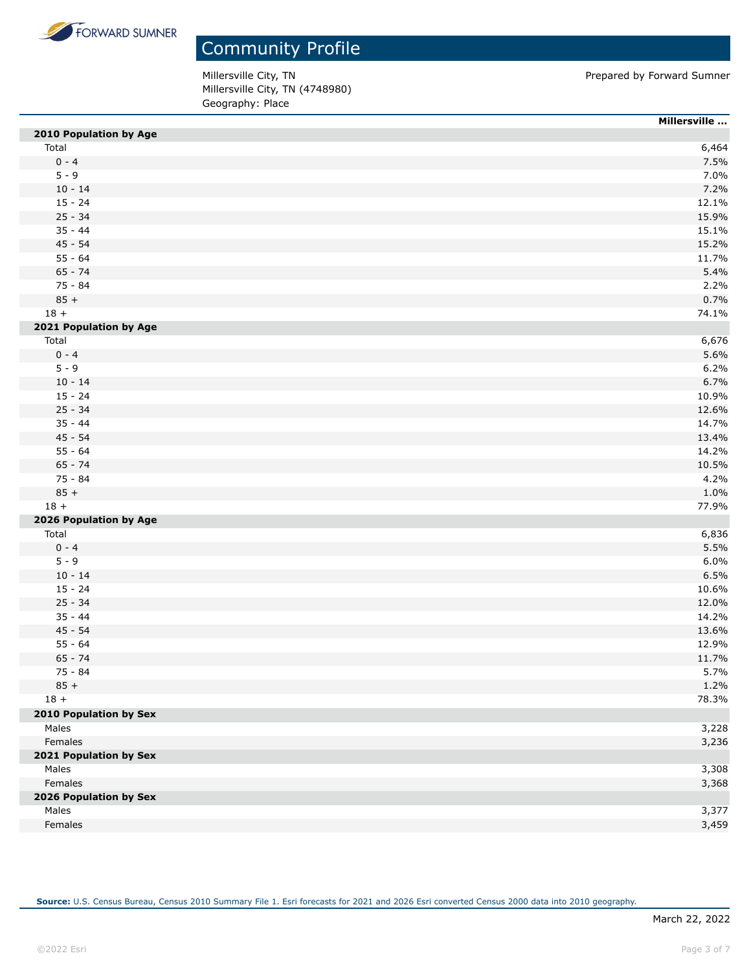

Millersville City, TN **Prepared by Forward Sumner** Millersville City, TN (4748980) Geography: Place

|                        | Millersville |
|------------------------|--------------|
| 2010 Population by Age |              |
| Total                  | 6,464        |
| $0 - 4$                | 7.5%         |
| $5 - 9$                | 7.0%         |
| $10 - 14$              | 7.2%         |
| $15 - 24$              | 12.1%        |
| $25 - 34$              | 15.9%        |
| $35 - 44$              | 15.1%        |
| $45 - 54$              | 15.2%        |
| $55 - 64$              | 11.7%        |
| $65 - 74$              | 5.4%         |
| 75 - 84                | 2.2%         |
| $85 +$                 | 0.7%         |
| $18 +$                 | 74.1%        |
| 2021 Population by Age |              |
| Total                  | 6,676        |
| $0 - 4$                | 5.6%         |
| $5 - 9$                | 6.2%         |
| $10 - 14$              | 6.7%         |
| $15 - 24$              | 10.9%        |
| $25 - 34$              | 12.6%        |
| $35 - 44$              | 14.7%        |
| $45 - 54$              | 13.4%        |
| $55 - 64$              | 14.2%        |
| $65 - 74$              | 10.5%        |
| 75 - 84                | 4.2%         |
| $85 +$                 | 1.0%         |
| $18 +$                 | 77.9%        |
| 2026 Population by Age |              |
| Total                  | 6,836        |
| $0 - 4$                | 5.5%         |
| $5 - 9$                | 6.0%         |
| $10 - 14$              | 6.5%         |
| $15 - 24$              | 10.6%        |
| $25 - 34$              | 12.0%        |
| $35 - 44$              | 14.2%        |
| $45 - 54$              | 13.6%        |
| $55 - 64$              | 12.9%        |
| $65 - 74$              | 11.7%        |
| 75 - 84                | 5.7%         |
| $85 +$                 | 1.2%         |
| $18 +$                 | 78.3%        |
| 2010 Population by Sex |              |
| Males                  | 3,228        |
| Females                | 3,236        |
| 2021 Population by Sex |              |
| Males                  | 3,308        |
| Females                | 3,368        |
| 2026 Population by Sex |              |
| Males                  | 3,377        |
| Females                | 3,459        |
|                        |              |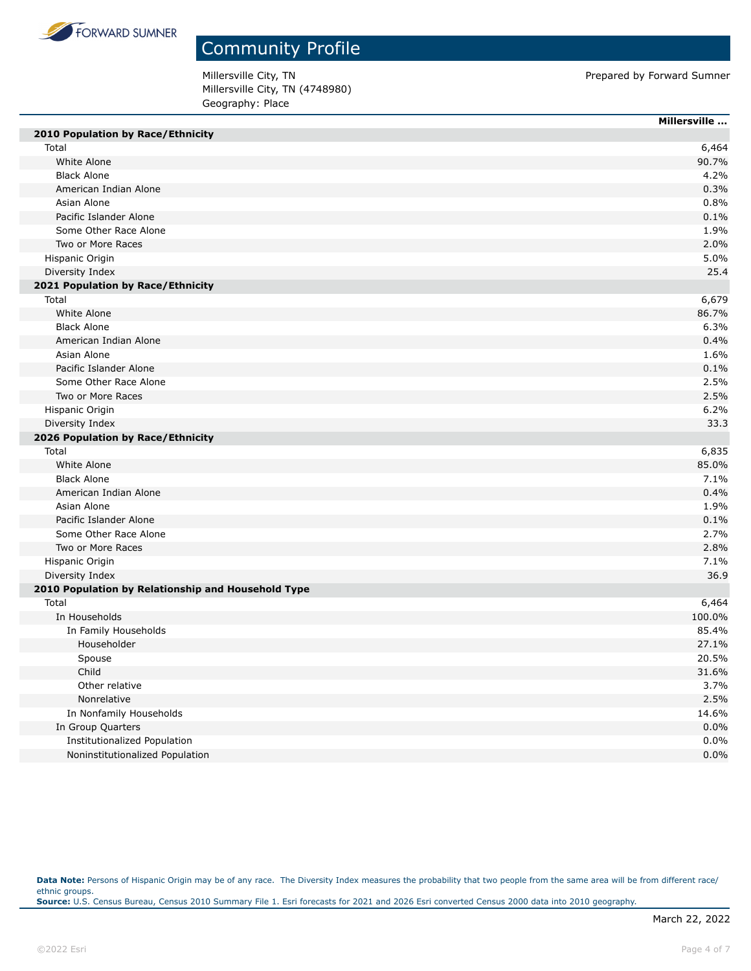

Millersville City, TN **Prepared by Forward Sumner** Millersville City, TN (4748980) Geography: Place

|                                                    | Millersville |
|----------------------------------------------------|--------------|
| 2010 Population by Race/Ethnicity                  |              |
| Total                                              | 6,464        |
| White Alone                                        | 90.7%        |
| <b>Black Alone</b>                                 | 4.2%         |
| American Indian Alone                              | 0.3%         |
| Asian Alone                                        | 0.8%         |
| Pacific Islander Alone                             | 0.1%         |
| Some Other Race Alone                              | 1.9%         |
| Two or More Races                                  | 2.0%         |
| Hispanic Origin                                    | 5.0%         |
| Diversity Index                                    | 25.4         |
| 2021 Population by Race/Ethnicity                  |              |
| Total                                              | 6,679        |
| White Alone                                        | 86.7%        |
| <b>Black Alone</b>                                 | 6.3%         |
| American Indian Alone                              | 0.4%         |
| Asian Alone                                        | 1.6%         |
| Pacific Islander Alone                             | 0.1%         |
| Some Other Race Alone                              | 2.5%         |
| Two or More Races                                  | 2.5%         |
| Hispanic Origin                                    | 6.2%         |
| Diversity Index                                    | 33.3         |
| 2026 Population by Race/Ethnicity                  |              |
| Total                                              | 6,835        |
| White Alone                                        | 85.0%        |
| <b>Black Alone</b>                                 | 7.1%         |
| American Indian Alone                              | 0.4%         |
| Asian Alone                                        | 1.9%         |
| Pacific Islander Alone                             | 0.1%         |
| Some Other Race Alone                              | 2.7%         |
| Two or More Races                                  | 2.8%         |
|                                                    | 7.1%         |
| Hispanic Origin                                    |              |
| Diversity Index                                    | 36.9         |
| 2010 Population by Relationship and Household Type |              |
| Total                                              | 6,464        |
| In Households                                      | 100.0%       |
| In Family Households                               | 85.4%        |
| Householder                                        | 27.1%        |
| Spouse                                             | 20.5%        |
| Child                                              | 31.6%        |
| Other relative                                     | 3.7%         |
| Nonrelative                                        | 2.5%         |
| In Nonfamily Households                            | 14.6%        |
| In Group Quarters                                  | 0.0%         |
| Institutionalized Population                       | 0.0%         |
| Noninstitutionalized Population                    | 0.0%         |

Data Note: Persons of Hispanic Origin may be of any race. The Diversity Index measures the probability that two people from the same area will be from different race/ ethnic groups. **Source:** U.S. Census Bureau, Census 2010 Summary File 1. Esri forecasts for 2021 and 2026 Esri converted Census 2000 data into 2010 geography.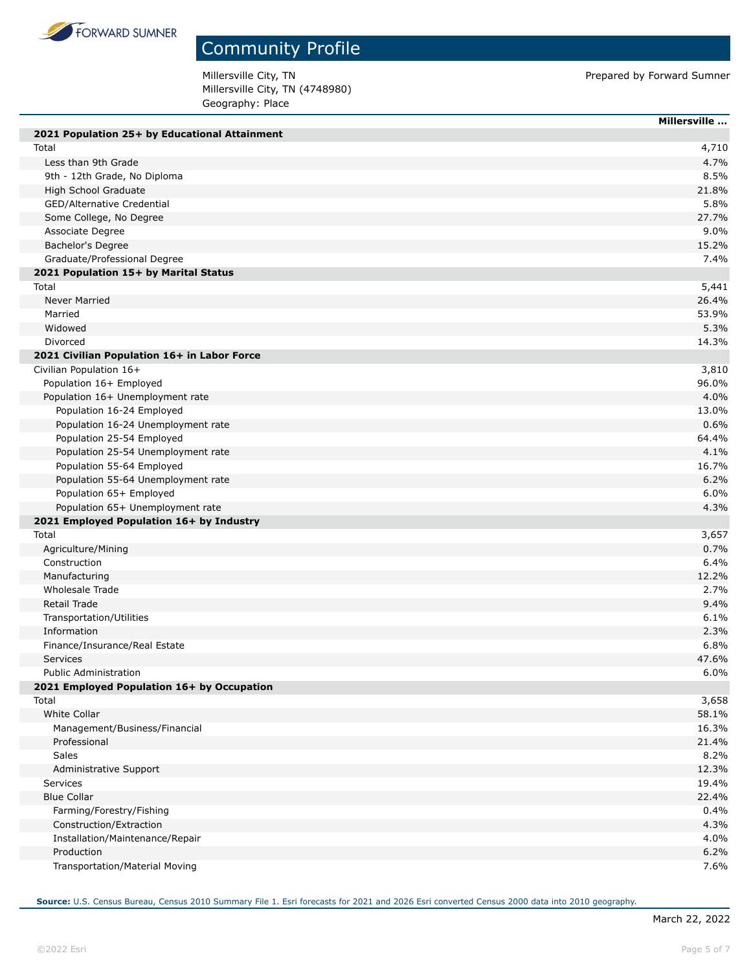

Millersville City, TN **Prepared by Forward Sumner** Millersville City, TN (4748980) Geography: Place

|                                               | Millersville |
|-----------------------------------------------|--------------|
| 2021 Population 25+ by Educational Attainment |              |
| Total                                         | 4,710        |
| Less than 9th Grade                           | 4.7%         |
| 9th - 12th Grade, No Diploma                  | 8.5%         |
| High School Graduate                          | 21.8%        |
| <b>GED/Alternative Credential</b>             | 5.8%         |
| Some College, No Degree                       | 27.7%        |
| Associate Degree                              | 9.0%         |
| Bachelor's Degree                             | 15.2%        |
| Graduate/Professional Degree                  | 7.4%         |
| 2021 Population 15+ by Marital Status         |              |
| Total                                         | 5,441        |
| Never Married                                 | 26.4%        |
| Married                                       | 53.9%        |
| Widowed                                       | 5.3%         |
| Divorced                                      | 14.3%        |
| 2021 Civilian Population 16+ in Labor Force   |              |
| Civilian Population 16+                       | 3,810        |
| Population 16+ Employed                       | 96.0%        |
| Population 16+ Unemployment rate              | 4.0%         |
| Population 16-24 Employed                     | 13.0%        |
| Population 16-24 Unemployment rate            | 0.6%         |
| Population 25-54 Employed                     | 64.4%        |
| Population 25-54 Unemployment rate            | 4.1%         |
| Population 55-64 Employed                     | 16.7%        |
| Population 55-64 Unemployment rate            | 6.2%         |
| Population 65+ Employed                       | 6.0%         |
| Population 65+ Unemployment rate              | 4.3%         |
| 2021 Employed Population 16+ by Industry      |              |
| Total                                         | 3,657        |
| Agriculture/Mining                            | 0.7%         |
| Construction                                  | 6.4%         |
| Manufacturing                                 | 12.2%        |
| Wholesale Trade                               | 2.7%         |
| Retail Trade                                  | 9.4%         |
| Transportation/Utilities                      | 6.1%         |
| Information                                   | 2.3%         |
| Finance/Insurance/Real Estate                 | 6.8%         |
| <b>Services</b>                               | 47.6%        |
| <b>Public Administration</b>                  | 6.0%         |
| 2021 Employed Population 16+ by Occupation    |              |
| Total                                         | 3,658        |
| <b>White Collar</b>                           | 58.1%        |
| Management/Business/Financial                 | 16.3%        |
| Professional                                  | 21.4%        |
| Sales                                         | 8.2%         |
| Administrative Support                        | 12.3%        |
| Services                                      | 19.4%        |
| <b>Blue Collar</b>                            | 22.4%        |
| Farming/Forestry/Fishing                      | 0.4%         |
| Construction/Extraction                       | 4.3%         |
| Installation/Maintenance/Repair               | 4.0%         |
| Production                                    | 6.2%         |
| Transportation/Material Moving                | 7.6%         |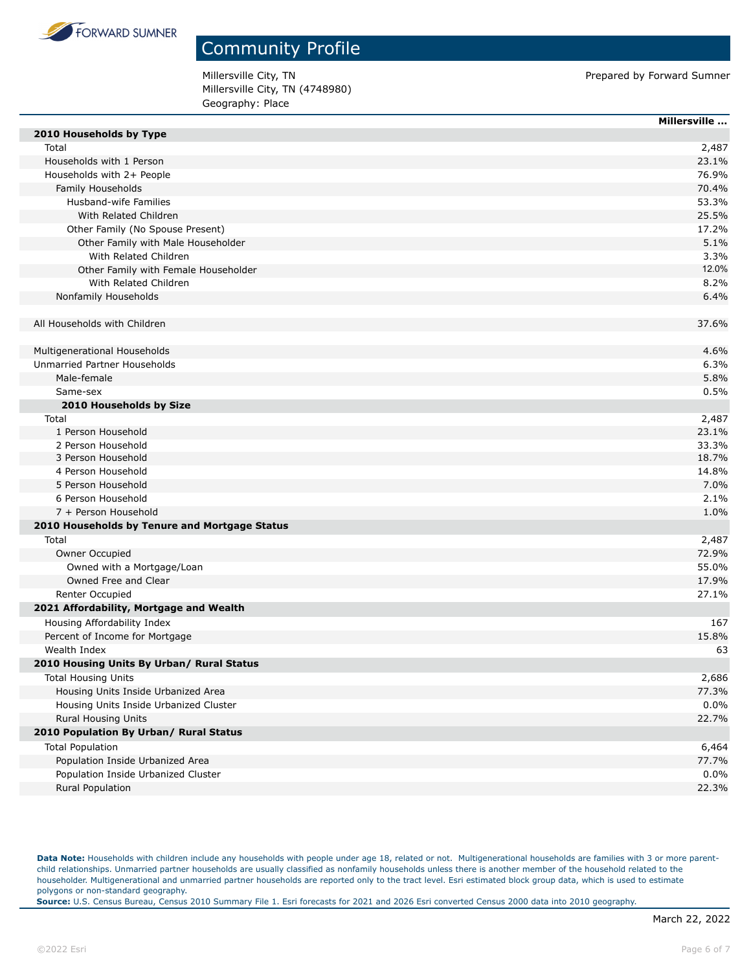

Millersville City, TN **Prepared by Forward Sumner** Millersville City, TN (4748980) Geography: Place

|                                               | Millersville |
|-----------------------------------------------|--------------|
| 2010 Households by Type                       |              |
| Total                                         | 2,487        |
| Households with 1 Person                      | 23.1%        |
| Households with 2+ People                     | 76.9%        |
| Family Households                             | 70.4%        |
| Husband-wife Families                         | 53.3%        |
| With Related Children                         | 25.5%        |
| Other Family (No Spouse Present)              | 17.2%        |
| Other Family with Male Householder            | 5.1%         |
| With Related Children                         | 3.3%         |
| Other Family with Female Householder          | 12.0%        |
| With Related Children                         | 8.2%         |
| Nonfamily Households                          | 6.4%         |
| All Households with Children                  | 37.6%        |
|                                               |              |
| Multigenerational Households                  | 4.6%         |
| Unmarried Partner Households                  | 6.3%         |
| Male-female                                   | 5.8%         |
| Same-sex                                      | 0.5%         |
| 2010 Households by Size                       |              |
| Total                                         | 2,487        |
| 1 Person Household                            | 23.1%        |
| 2 Person Household                            | 33.3%        |
| 3 Person Household                            | 18.7%        |
| 4 Person Household                            | 14.8%        |
| 5 Person Household                            | 7.0%         |
| 6 Person Household                            | 2.1%         |
| 7 + Person Household                          | 1.0%         |
| 2010 Households by Tenure and Mortgage Status |              |
| Total                                         | 2,487        |
| Owner Occupied                                | 72.9%        |
| Owned with a Mortgage/Loan                    | 55.0%        |
| Owned Free and Clear                          | 17.9%        |
| Renter Occupied                               | 27.1%        |
| 2021 Affordability, Mortgage and Wealth       |              |
| Housing Affordability Index                   | 167          |
| Percent of Income for Mortgage                | 15.8%        |
| Wealth Index                                  | 63           |
| 2010 Housing Units By Urban/ Rural Status     |              |
| <b>Total Housing Units</b>                    | 2,686        |
| Housing Units Inside Urbanized Area           | 77.3%        |
| Housing Units Inside Urbanized Cluster        | 0.0%         |
| Rural Housing Units                           | 22.7%        |
| 2010 Population By Urban/ Rural Status        |              |
| <b>Total Population</b>                       | 6,464        |
| Population Inside Urbanized Area              | 77.7%        |
| Population Inside Urbanized Cluster           | 0.0%         |
| Rural Population                              | 22.3%        |
|                                               |              |

Data Note: Households with children include any households with people under age 18, related or not. Multigenerational households are families with 3 or more parentchild relationships. Unmarried partner households are usually classified as nonfamily households unless there is another member of the household related to the householder. Multigenerational and unmarried partner households are reported only to the tract level. Esri estimated block group data, which is used to estimate polygons or non-standard geography.